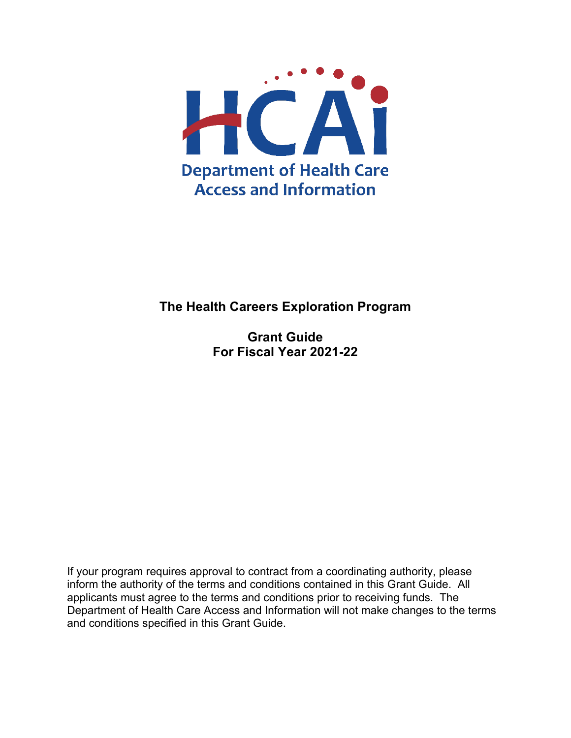

## **The Health Careers Exploration Program**

**Grant Guide For Fiscal Year 2021-22** 

If your program requires approval to contract from a coordinating authority, please inform the authority of the terms and conditions contained in this Grant Guide. All applicants must agree to the terms and conditions prior to receiving funds. The Department of Health Care Access and Information will not make changes to the terms and conditions specified in this Grant Guide.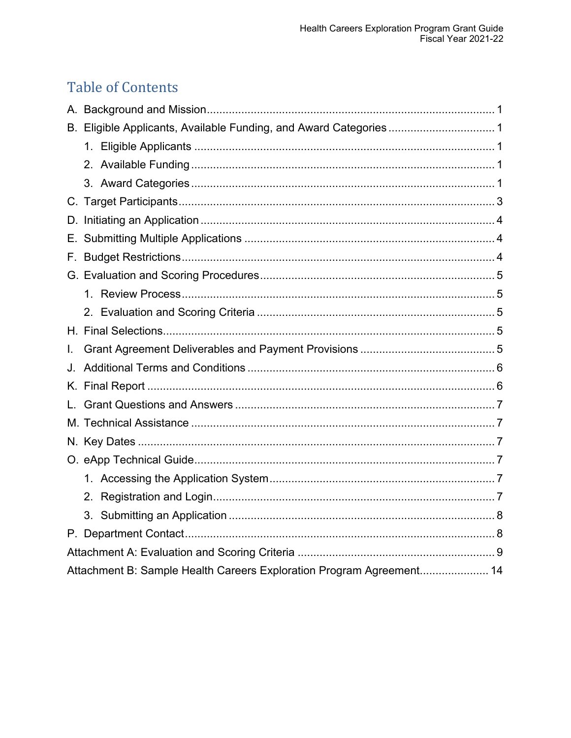# **Table of Contents**

|    | B. Eligible Applicants, Available Funding, and Award Categories1 |  |
|----|------------------------------------------------------------------|--|
|    |                                                                  |  |
|    |                                                                  |  |
|    |                                                                  |  |
|    |                                                                  |  |
|    |                                                                  |  |
| Е. |                                                                  |  |
|    |                                                                  |  |
|    |                                                                  |  |
|    |                                                                  |  |
|    |                                                                  |  |
|    |                                                                  |  |
|    |                                                                  |  |
| L. |                                                                  |  |
| J. |                                                                  |  |
| Κ. |                                                                  |  |
| L. |                                                                  |  |
|    |                                                                  |  |
|    |                                                                  |  |
|    |                                                                  |  |
|    |                                                                  |  |
|    |                                                                  |  |
|    |                                                                  |  |
|    |                                                                  |  |
|    |                                                                  |  |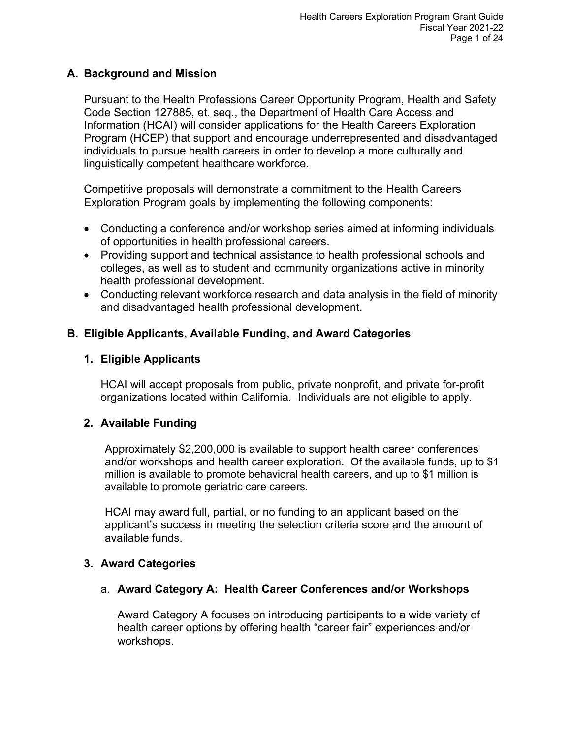#### <span id="page-2-0"></span>**A. Background and Mission**

Pursuant to the Health Professions Career Opportunity Program, Health and Safety Code Section 127885, et. seq., the Department of Health Care Access and Information (HCAI) will consider applications for the Health Careers Exploration Program (HCEP) that support and encourage underrepresented and disadvantaged individuals to pursue health careers in order to develop a more culturally and linguistically competent healthcare workforce.

Competitive proposals will demonstrate a commitment to the Health Careers Exploration Program goals by implementing the following components:

- Conducting a conference and/or workshop series aimed at informing individuals of opportunities in health professional careers.
- Providing support and technical assistance to health professional schools and colleges, as well as to student and community organizations active in minority health professional development.
- Conducting relevant workforce research and data analysis in the field of minority and disadvantaged health professional development.

## <span id="page-2-1"></span>**B. Eligible Applicants, Available Funding, and Award Categories**

## <span id="page-2-2"></span>**1. Eligible Applicants**

HCAI will accept proposals from public, private nonprofit, and private for-profit organizations located within California. Individuals are not eligible to apply.

## <span id="page-2-3"></span>**2. Available Funding**

Approximately \$2,200,000 is available to support health career conferences and/or workshops and health career exploration. Of the available funds, up to \$1 million is available to promote behavioral health careers, and up to \$1 million is available to promote geriatric care careers.

HCAI may award full, partial, or no funding to an applicant based on the applicant's success in meeting the selection criteria score and the amount of available funds.

#### <span id="page-2-4"></span>**3. Award Categories**

#### a. **Award Category A: Health Career Conferences and/or Workshops**

Award Category A focuses on introducing participants to a wide variety of health career options by offering health "career fair" experiences and/or workshops.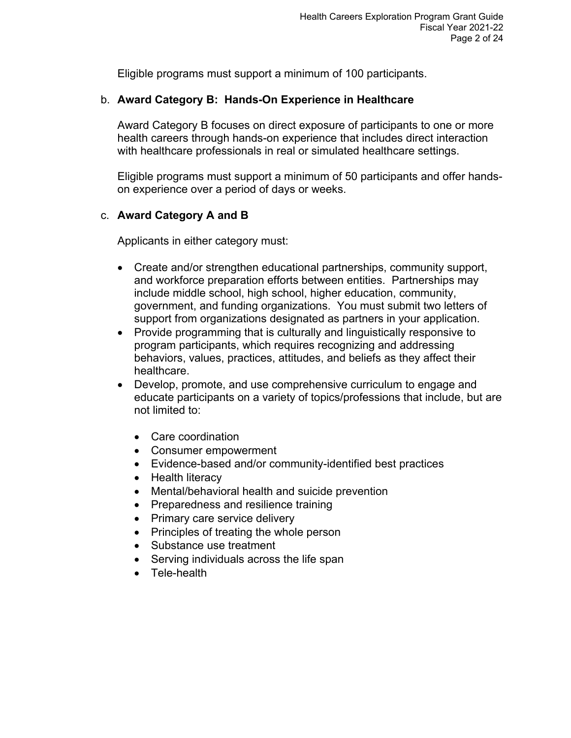Eligible programs must support a minimum of 100 participants.

#### b. **Award Category B: Hands-On Experience in Healthcare**

Award Category B focuses on direct exposure of participants to one or more health careers through hands-on experience that includes direct interaction with healthcare professionals in real or simulated healthcare settings.

Eligible programs must support a minimum of 50 participants and offer handson experience over a period of days or weeks.

## c. **Award Category A and B**

Applicants in either category must:

- Create and/or strengthen educational partnerships, community support, and workforce preparation efforts between entities. Partnerships may include middle school, high school, higher education, community, government, and funding organizations. You must submit two letters of support from organizations designated as partners in your application.
- Provide programming that is culturally and linguistically responsive to program participants, which requires recognizing and addressing behaviors, values, practices, attitudes, and beliefs as they affect their healthcare.
- Develop, promote, and use comprehensive curriculum to engage and educate participants on a variety of topics/professions that include, but are not limited to:
	- Care coordination
	- Consumer empowerment
	- Evidence-based and/or community-identified best practices
	- Health literacy
	- Mental/behavioral health and suicide prevention
	- Preparedness and resilience training
	- Primary care service delivery
	- Principles of treating the whole person
	- Substance use treatment
	- Serving individuals across the life span
	- Tele-health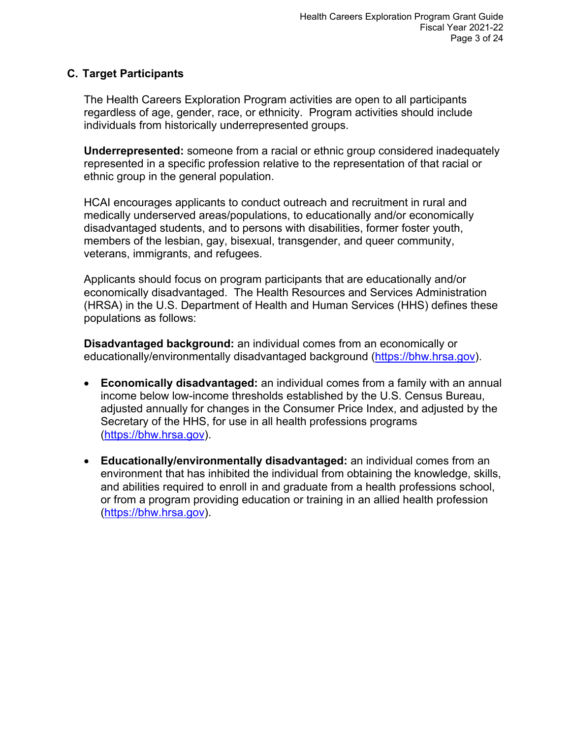#### <span id="page-4-0"></span>**C. Target Participants**

The Health Careers Exploration Program activities are open to all participants regardless of age, gender, race, or ethnicity. Program activities should include individuals from historically underrepresented groups.

**Underrepresented:** someone from a racial or ethnic group considered inadequately represented in a specific profession relative to the representation of that racial or ethnic group in the general population.

HCAI encourages applicants to conduct outreach and recruitment in rural and medically underserved areas/populations, to educationally and/or economically disadvantaged students, and to persons with disabilities, former foster youth, members of the lesbian, gay, bisexual, transgender, and queer community, veterans, immigrants, and refugees.

Applicants should focus on program participants that are educationally and/or economically disadvantaged. The Health Resources and Services Administration (HRSA) in the U.S. Department of Health and Human Services (HHS) defines these populations as follows:

**Disadvantaged background:** an individual comes from an economically or educationally/environmentally disadvantaged background [\(https://bhw.hrsa.gov\)](https://bhw.hrsa.gov/grants/resourcecenter/glossary#D).

- **Economically disadvantaged:** an individual comes from a family with an annual income below low-income thresholds established by the U.S. Census Bureau, adjusted annually for changes in the Consumer Price Index, and adjusted by the Secretary of the HHS, for use in all health professions programs [\(https://bhw.hrsa.gov\)](https://bhw.hrsa.gov/grants/resourcecenter/glossary#D).
- **Educationally/environmentally disadvantaged:** an individual comes from an environment that has inhibited the individual from obtaining the knowledge, skills, and abilities required to enroll in and graduate from a health professions school, or from a program providing education or training in an allied health profession [\(https://bhw.hrsa.gov\)](https://bhw.hrsa.gov/grants/resourcecenter/glossary#D).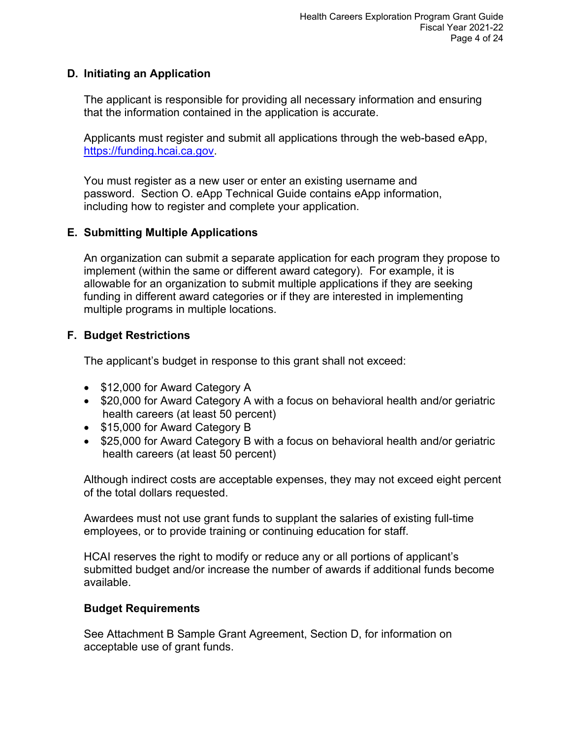#### <span id="page-5-0"></span>**D. Initiating an Application**

The applicant is responsible for providing all necessary information and ensuring that the information contained in the application is accurate.

Applicants must register and submit all applications through the web-based eApp, [https://funding.hcai.ca.gov.](https://funding.hcai.ca.gov/)

You must register as a new user or enter an existing username and password. Section O. eApp Technical Guide contains eApp information, including how to register and complete your application.

#### <span id="page-5-1"></span>**E. Submitting Multiple Applications**

An organization can submit a separate application for each program they propose to implement (within the same or different award category). For example, it is allowable for an organization to submit multiple applications if they are seeking funding in different award categories or if they are interested in implementing multiple programs in multiple locations.

## <span id="page-5-2"></span>**F. Budget Restrictions**

The applicant's budget in response to this grant shall not exceed:

- \$12,000 for Award Category A
- \$20,000 for Award Category A with a focus on behavioral health and/or geriatric health careers (at least 50 percent)
- \$15,000 for Award Category B
- \$25,000 for Award Category B with a focus on behavioral health and/or geriatric health careers (at least 50 percent)

Although indirect costs are acceptable expenses, they may not exceed eight percent of the total dollars requested.

Awardees must not use grant funds to supplant the salaries of existing full-time employees, or to provide training or continuing education for staff.

HCAI reserves the right to modify or reduce any or all portions of applicant's submitted budget and/or increase the number of awards if additional funds become available.

#### **Budget Requirements**

See Attachment B Sample Grant Agreement, Section D, for information on acceptable use of grant funds.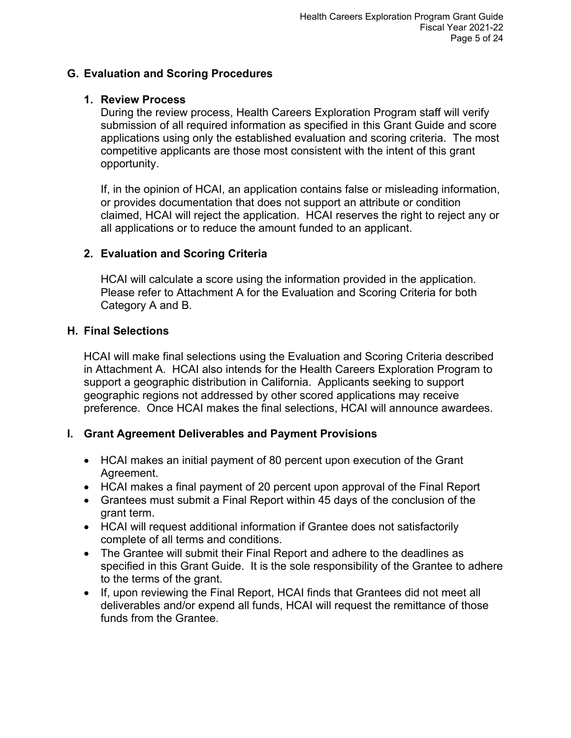#### <span id="page-6-0"></span>**G. Evaluation and Scoring Procedures**

#### <span id="page-6-1"></span>**1. Review Process**

During the review process, Health Careers Exploration Program staff will verify submission of all required information as specified in this Grant Guide and score applications using only the established evaluation and scoring criteria. The most competitive applicants are those most consistent with the intent of this grant opportunity.

If, in the opinion of HCAI, an application contains false or misleading information, or provides documentation that does not support an attribute or condition claimed, HCAI will reject the application. HCAI reserves the right to reject any or all applications or to reduce the amount funded to an applicant.

#### <span id="page-6-2"></span>**2. Evaluation and Scoring Criteria**

HCAI will calculate a score using the information provided in the application. Please refer to Attachment A for the Evaluation and Scoring Criteria for both Category A and B.

#### <span id="page-6-3"></span>**H. Final Selections**

HCAI will make final selections using the Evaluation and Scoring Criteria described in Attachment A. HCAI also intends for the Health Careers Exploration Program to support a geographic distribution in California. Applicants seeking to support geographic regions not addressed by other scored applications may receive preference. Once HCAI makes the final selections, HCAI will announce awardees.

#### <span id="page-6-4"></span>**I. Grant Agreement Deliverables and Payment Provisions**

- HCAI makes an initial payment of 80 percent upon execution of the Grant Agreement.
- HCAI makes a final payment of 20 percent upon approval of the Final Report
- Grantees must submit a Final Report within 45 days of the conclusion of the grant term.
- HCAI will request additional information if Grantee does not satisfactorily complete of all terms and conditions.
- The Grantee will submit their Final Report and adhere to the deadlines as specified in this Grant Guide. It is the sole responsibility of the Grantee to adhere to the terms of the grant.
- If, upon reviewing the Final Report, HCAI finds that Grantees did not meet all deliverables and/or expend all funds, HCAI will request the remittance of those funds from the Grantee.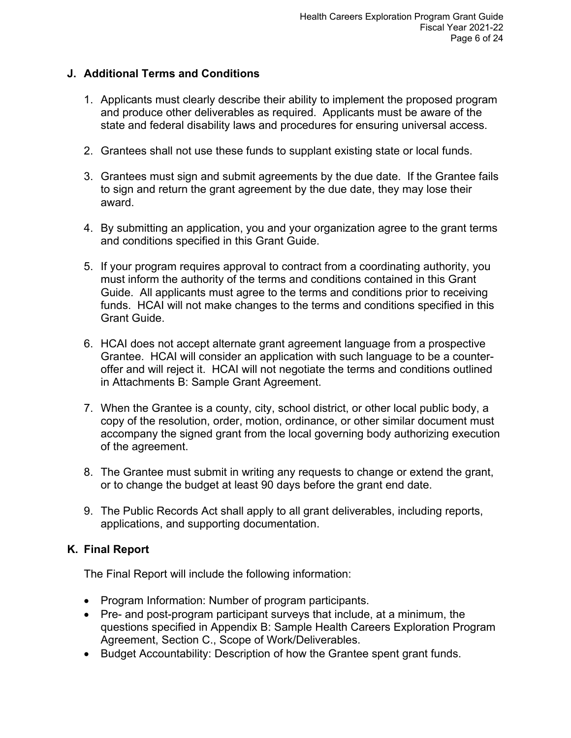#### <span id="page-7-0"></span>**J. Additional Terms and Conditions**

- 1. Applicants must clearly describe their ability to implement the proposed program and produce other deliverables as required. Applicants must be aware of the state and federal disability laws and procedures for ensuring universal access.
- 2. Grantees shall not use these funds to supplant existing state or local funds.
- 3. Grantees must sign and submit agreements by the due date. If the Grantee fails to sign and return the grant agreement by the due date, they may lose their award.
- 4. By submitting an application, you and your organization agree to the grant terms and conditions specified in this Grant Guide.
- 5. If your program requires approval to contract from a coordinating authority, you must inform the authority of the terms and conditions contained in this Grant Guide. All applicants must agree to the terms and conditions prior to receiving funds. HCAI will not make changes to the terms and conditions specified in this Grant Guide.
- 6. HCAI does not accept alternate grant agreement language from a prospective Grantee. HCAI will consider an application with such language to be a counteroffer and will reject it. HCAI will not negotiate the terms and conditions outlined in Attachments B: Sample Grant Agreement.
- 7. When the Grantee is a county, city, school district, or other local public body, a copy of the resolution, order, motion, ordinance, or other similar document must accompany the signed grant from the local governing body authorizing execution of the agreement.
- 8. The Grantee must submit in writing any requests to change or extend the grant, or to change the budget at least 90 days before the grant end date.
- 9. The Public Records Act shall apply to all grant deliverables, including reports, applications, and supporting documentation.

## <span id="page-7-1"></span>**K. Final Report**

The Final Report will include the following information:

- Program Information: Number of program participants.
- Pre- and post-program participant surveys that include, at a minimum, the questions specified in Appendix B: Sample Health Careers Exploration Program Agreement, Section C., Scope of Work/Deliverables.
- Budget Accountability: Description of how the Grantee spent grant funds.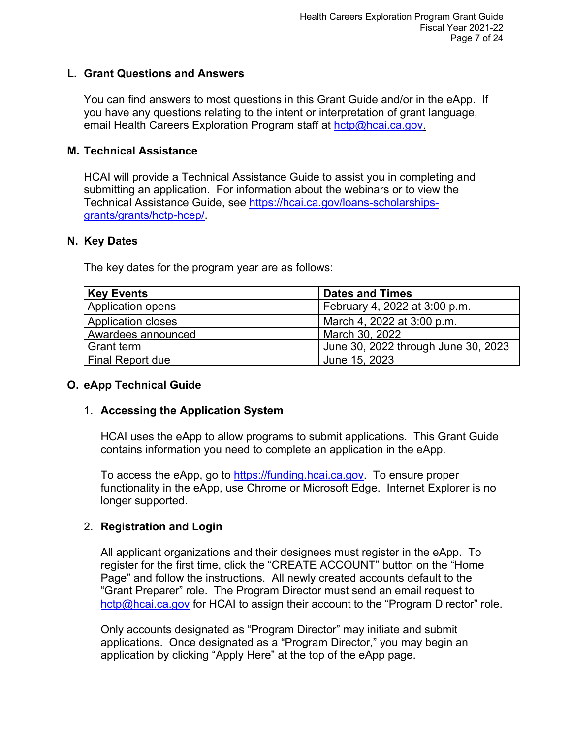#### <span id="page-8-0"></span>**L. Grant Questions and Answers**

You can find answers to most questions in this Grant Guide and/or in the eApp. If you have any questions relating to the intent or interpretation of grant language, email Health Careers Exploration Program staff at [hctp@hcai.ca.gov.](mailto:hctp@hcai.ca.gov)

#### <span id="page-8-1"></span>**M. Technical Assistance**

HCAI will provide a Technical Assistance Guide to assist you in completing and submitting an application. For information about the webinars or to view the Technical Assistance Guide, see [https://hcai.ca.gov/loans-scholarships](https://hcai.ca.gov/loans-scholarships-grants/grants/hctp-hcep/)[grants/grants/hctp-hcep/.](https://hcai.ca.gov/loans-scholarships-grants/grants/hctp-hcep/)

#### <span id="page-8-2"></span>**N. Key Dates**

The key dates for the program year are as follows:

| <b>Key Events</b>         | <b>Dates and Times</b>              |
|---------------------------|-------------------------------------|
| Application opens         | February 4, 2022 at 3:00 p.m.       |
| <b>Application closes</b> | March 4, 2022 at 3:00 p.m.          |
| Awardees announced        | March 30, 2022                      |
| <b>Grant term</b>         | June 30, 2022 through June 30, 2023 |
| <b>Final Report due</b>   | June 15, 2023                       |

#### <span id="page-8-3"></span>**O. eApp Technical Guide**

#### <span id="page-8-4"></span>1. **Accessing the Application System**

HCAI uses the eApp to allow programs to submit applications. This Grant Guide contains information you need to complete an application in the eApp.

To access the eApp, go to [https://funding.hcai.ca.gov.](https://funding.hcai.ca.gov/) To ensure proper functionality in the eApp, use Chrome or Microsoft Edge. Internet Explorer is no longer supported.

#### <span id="page-8-5"></span>2. **Registration and Login**

All applicant organizations and their designees must register in the eApp. To register for the first time, click the "CREATE ACCOUNT" button on the "Home Page" and follow the instructions. All newly created accounts default to the "Grant Preparer" role. The Program Director must send an email request to [hctp@hcai.ca.gov](mailto:hctp@hcai.ca.gov) for HCAI to assign their account to the "Program Director" role.

Only accounts designated as "Program Director" may initiate and submit applications. Once designated as a "Program Director," you may begin an application by clicking "Apply Here" at the top of the eApp page.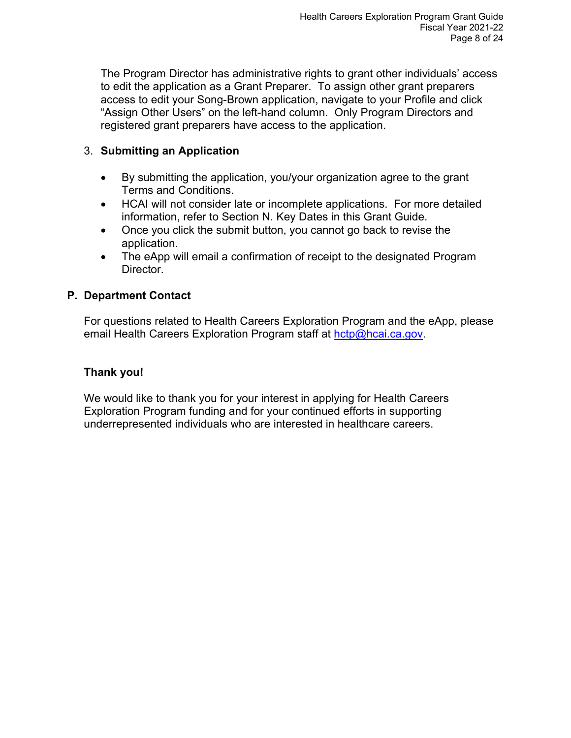The Program Director has administrative rights to grant other individuals' access to edit the application as a Grant Preparer. To assign other grant preparers access to edit your Song-Brown application, navigate to your Profile and click "Assign Other Users" on the left-hand column. Only Program Directors and registered grant preparers have access to the application.

#### <span id="page-9-0"></span>3. **Submitting an Application**

- By submitting the application, you/your organization agree to the grant Terms and Conditions.
- HCAI will not consider late or incomplete applications. For more detailed information, refer to Section N. Key Dates in this Grant Guide.
- Once you click the submit button, you cannot go back to revise the application.
- The eApp will email a confirmation of receipt to the designated Program Director.

## <span id="page-9-1"></span>**P. Department Contact**

For questions related to Health Careers Exploration Program and the eApp, please email Health Careers Exploration Program staff at [hctp@hcai.ca.gov.](mailto:hctp@hcai.ca.gov)

#### **Thank you!**

We would like to thank you for your interest in applying for Health Careers Exploration Program funding and for your continued efforts in supporting underrepresented individuals who are interested in healthcare careers.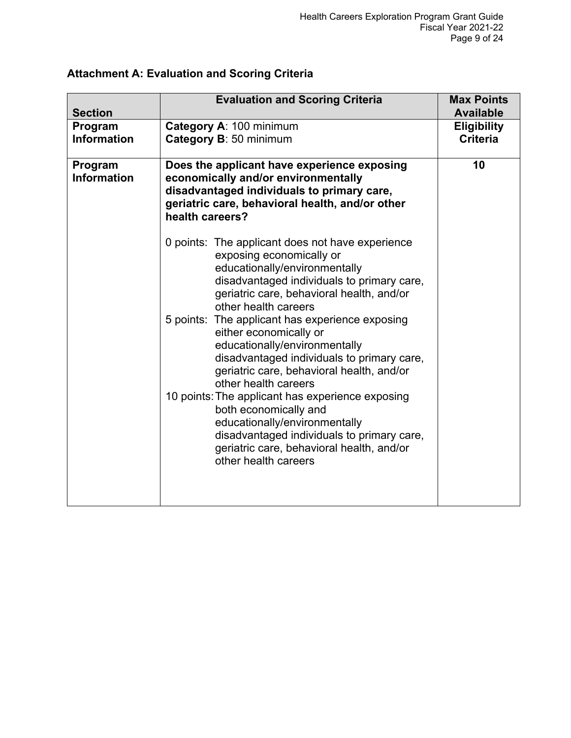| <b>Section</b>                | <b>Evaluation and Scoring Criteria</b>                                                                                                                                                                                           | <b>Max Points</b><br><b>Available</b> |
|-------------------------------|----------------------------------------------------------------------------------------------------------------------------------------------------------------------------------------------------------------------------------|---------------------------------------|
| Program                       | Category A: 100 minimum                                                                                                                                                                                                          | <b>Eligibility</b>                    |
| <b>Information</b>            | Category B: 50 minimum                                                                                                                                                                                                           | <b>Criteria</b>                       |
| Program<br><b>Information</b> | Does the applicant have experience exposing<br>economically and/or environmentally<br>disadvantaged individuals to primary care,<br>geriatric care, behavioral health, and/or other<br>health careers?                           | 10                                    |
|                               | 0 points: The applicant does not have experience<br>exposing economically or<br>educationally/environmentally<br>disadvantaged individuals to primary care,<br>geriatric care, behavioral health, and/or<br>other health careers |                                       |
|                               | 5 points: The applicant has experience exposing<br>either economically or<br>educationally/environmentally<br>disadvantaged individuals to primary care,<br>geriatric care, behavioral health, and/or<br>other health careers    |                                       |
|                               | 10 points: The applicant has experience exposing<br>both economically and<br>educationally/environmentally<br>disadvantaged individuals to primary care,<br>geriatric care, behavioral health, and/or<br>other health careers    |                                       |

## <span id="page-10-0"></span>**Attachment A: Evaluation and Scoring Criteria**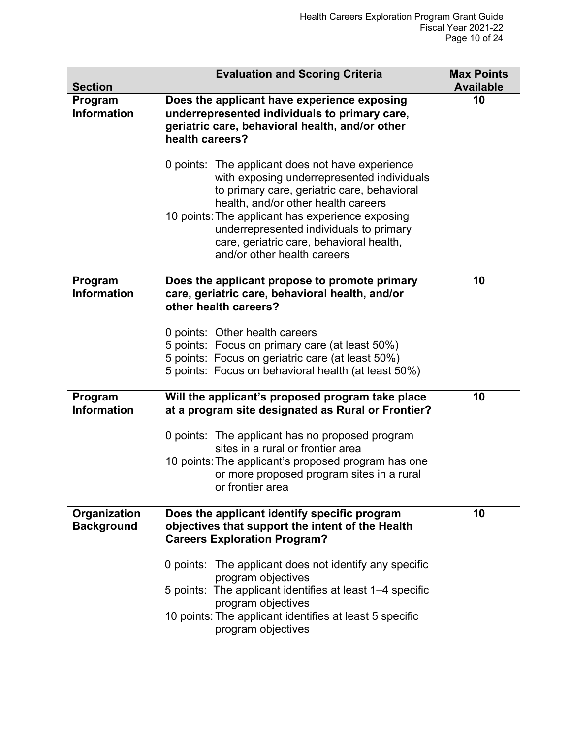| <b>Section</b>                    | <b>Evaluation and Scoring Criteria</b>                                                                                                                                                                                                                                                                                                                         | <b>Max Points</b><br><b>Available</b> |
|-----------------------------------|----------------------------------------------------------------------------------------------------------------------------------------------------------------------------------------------------------------------------------------------------------------------------------------------------------------------------------------------------------------|---------------------------------------|
| Program<br><b>Information</b>     | Does the applicant have experience exposing<br>underrepresented individuals to primary care,<br>geriatric care, behavioral health, and/or other<br>health careers?                                                                                                                                                                                             | 10                                    |
|                                   | 0 points: The applicant does not have experience<br>with exposing underrepresented individuals<br>to primary care, geriatric care, behavioral<br>health, and/or other health careers<br>10 points: The applicant has experience exposing<br>underrepresented individuals to primary<br>care, geriatric care, behavioral health,<br>and/or other health careers |                                       |
| Program<br><b>Information</b>     | Does the applicant propose to promote primary<br>care, geriatric care, behavioral health, and/or<br>other health careers?                                                                                                                                                                                                                                      | 10                                    |
|                                   | 0 points: Other health careers<br>5 points: Focus on primary care (at least 50%)<br>5 points: Focus on geriatric care (at least 50%)<br>5 points: Focus on behavioral health (at least 50%)                                                                                                                                                                    |                                       |
| Program<br><b>Information</b>     | Will the applicant's proposed program take place<br>at a program site designated as Rural or Frontier?                                                                                                                                                                                                                                                         | 10                                    |
|                                   | 0 points: The applicant has no proposed program<br>sites in a rural or frontier area<br>10 points: The applicant's proposed program has one<br>or more proposed program sites in a rural<br>or frontier area                                                                                                                                                   |                                       |
| Organization<br><b>Background</b> | Does the applicant identify specific program<br>objectives that support the intent of the Health<br><b>Careers Exploration Program?</b>                                                                                                                                                                                                                        | 10                                    |
|                                   | 0 points: The applicant does not identify any specific<br>program objectives<br>5 points: The applicant identifies at least 1-4 specific<br>program objectives<br>10 points: The applicant identifies at least 5 specific<br>program objectives                                                                                                                |                                       |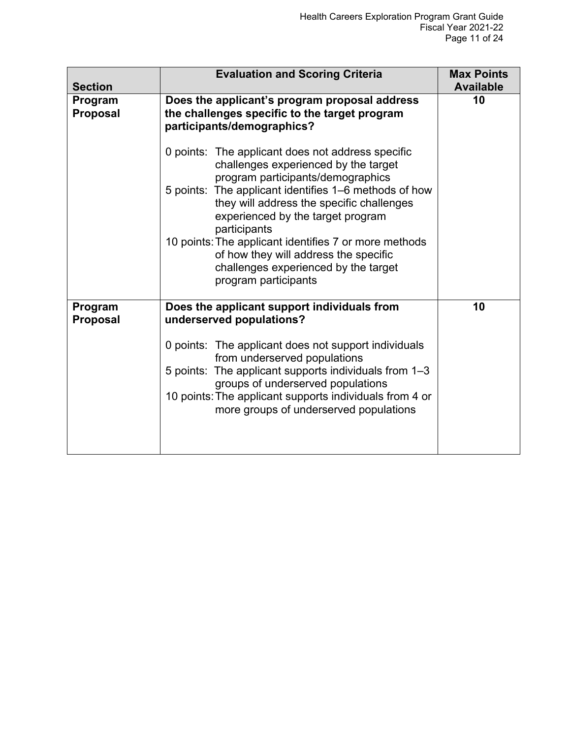| <b>Section</b>             | <b>Evaluation and Scoring Criteria</b>                                                                                                                         | <b>Max Points</b><br><b>Available</b> |
|----------------------------|----------------------------------------------------------------------------------------------------------------------------------------------------------------|---------------------------------------|
| Program<br><b>Proposal</b> | Does the applicant's program proposal address<br>the challenges specific to the target program<br>participants/demographics?                                   | 10                                    |
|                            | 0 points: The applicant does not address specific<br>challenges experienced by the target<br>program participants/demographics                                 |                                       |
|                            | 5 points: The applicant identifies 1-6 methods of how<br>they will address the specific challenges<br>experienced by the target program<br>participants        |                                       |
|                            | 10 points: The applicant identifies 7 or more methods<br>of how they will address the specific<br>challenges experienced by the target<br>program participants |                                       |
| Program<br><b>Proposal</b> | Does the applicant support individuals from<br>underserved populations?                                                                                        | 10                                    |
|                            | 0 points: The applicant does not support individuals<br>from underserved populations                                                                           |                                       |
|                            | 5 points: The applicant supports individuals from 1-3<br>groups of underserved populations                                                                     |                                       |
|                            | 10 points: The applicant supports individuals from 4 or<br>more groups of underserved populations                                                              |                                       |
|                            |                                                                                                                                                                |                                       |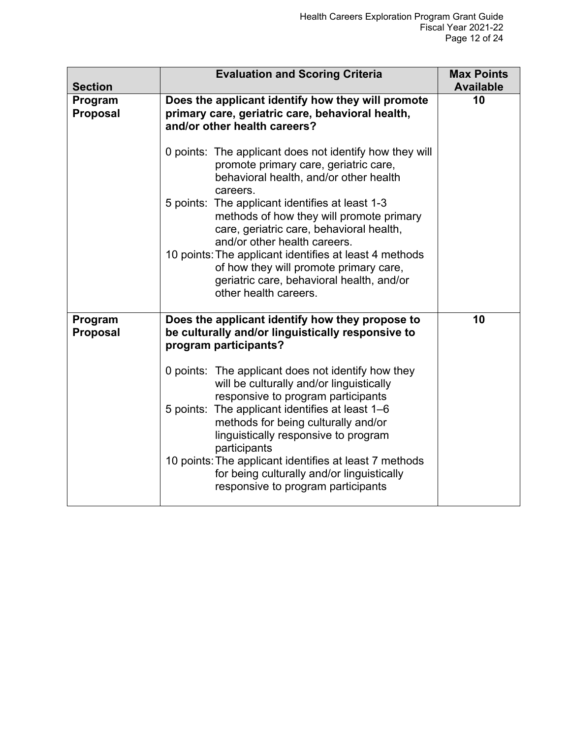| <b>Section</b>             | <b>Evaluation and Scoring Criteria</b>                                                                                                                                  | <b>Max Points</b><br><b>Available</b> |
|----------------------------|-------------------------------------------------------------------------------------------------------------------------------------------------------------------------|---------------------------------------|
| Program<br><b>Proposal</b> | Does the applicant identify how they will promote<br>primary care, geriatric care, behavioral health,<br>and/or other health careers?                                   | 10                                    |
|                            | 0 points: The applicant does not identify how they will<br>promote primary care, geriatric care,<br>behavioral health, and/or other health<br>careers.                  |                                       |
|                            | 5 points: The applicant identifies at least 1-3<br>methods of how they will promote primary<br>care, geriatric care, behavioral health,<br>and/or other health careers. |                                       |
|                            | 10 points: The applicant identifies at least 4 methods<br>of how they will promote primary care,<br>geriatric care, behavioral health, and/or<br>other health careers.  |                                       |
| Program<br><b>Proposal</b> | Does the applicant identify how they propose to<br>be culturally and/or linguistically responsive to<br>program participants?                                           | 10                                    |
|                            | 0 points: The applicant does not identify how they<br>will be culturally and/or linguistically<br>responsive to program participants                                    |                                       |
|                            | 5 points: The applicant identifies at least 1-6<br>methods for being culturally and/or<br>linguistically responsive to program<br>participants                          |                                       |
|                            | 10 points: The applicant identifies at least 7 methods<br>for being culturally and/or linguistically<br>responsive to program participants                              |                                       |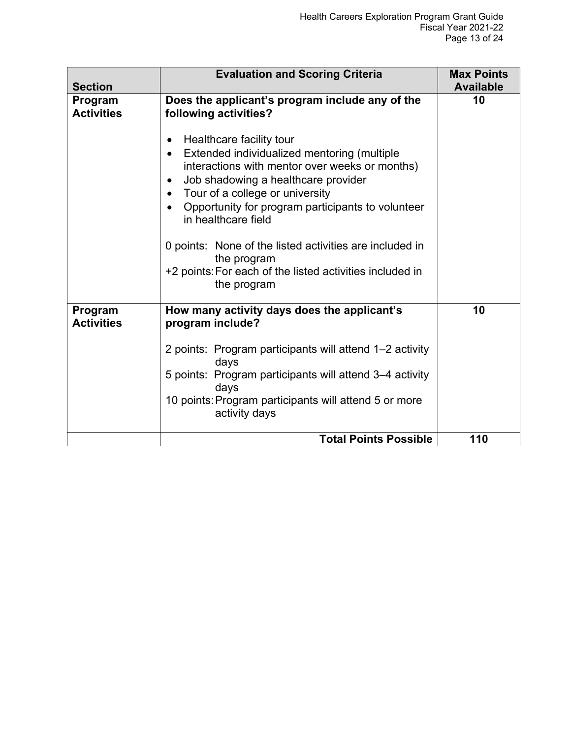| <b>Section</b>               | <b>Evaluation and Scoring Criteria</b>                                                                                                                                                                                                                                                                                                                                                                                                                                                                                        | <b>Max Points</b><br><b>Available</b> |
|------------------------------|-------------------------------------------------------------------------------------------------------------------------------------------------------------------------------------------------------------------------------------------------------------------------------------------------------------------------------------------------------------------------------------------------------------------------------------------------------------------------------------------------------------------------------|---------------------------------------|
| Program<br><b>Activities</b> | Does the applicant's program include any of the<br>following activities?<br>Healthcare facility tour<br>$\bullet$<br>Extended individualized mentoring (multiple<br>interactions with mentor over weeks or months)<br>Job shadowing a healthcare provider<br>Tour of a college or university<br>Opportunity for program participants to volunteer<br>in healthcare field<br>0 points: None of the listed activities are included in<br>the program<br>+2 points: For each of the listed activities included in<br>the program | 10                                    |
| Program<br><b>Activities</b> | How many activity days does the applicant's<br>program include?<br>2 points: Program participants will attend 1-2 activity<br>days<br>5 points: Program participants will attend 3-4 activity<br>days<br>10 points: Program participants will attend 5 or more<br>activity days                                                                                                                                                                                                                                               | 10                                    |
|                              | <b>Total Points Possible</b>                                                                                                                                                                                                                                                                                                                                                                                                                                                                                                  | 110                                   |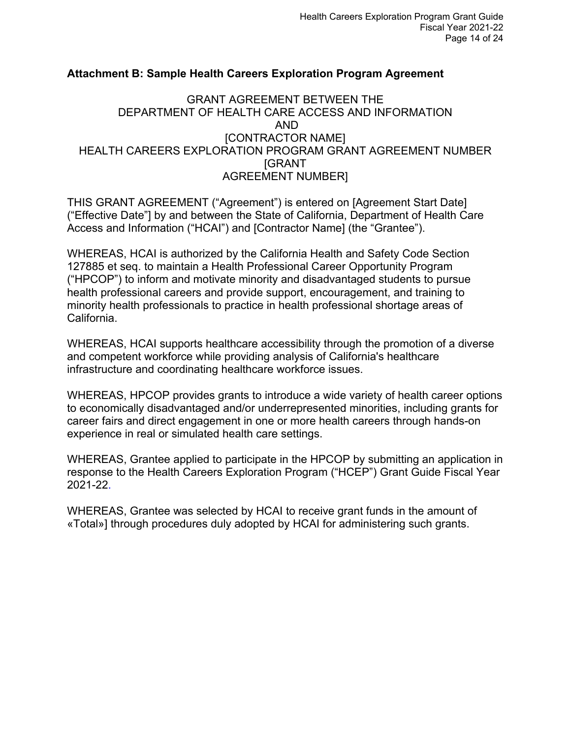#### <span id="page-15-0"></span>**Attachment B: Sample Health Careers Exploration Program Agreement**

#### GRANT AGREEMENT BETWEEN THE DEPARTMENT OF HEALTH CARE ACCESS AND INFORMATION AND [CONTRACTOR NAME] HEALTH CAREERS EXPLORATION PROGRAM GRANT AGREEMENT NUMBER [GRANT AGREEMENT NUMBER]

THIS GRANT AGREEMENT ("Agreement") is entered on [Agreement Start Date] ("Effective Date"] by and between the State of California, Department of Health Care Access and Information ("HCAI") and [Contractor Name] (the "Grantee").

WHEREAS, HCAI is authorized by the California Health and Safety Code Section 127885 et seq. to maintain a Health Professional Career Opportunity Program ("HPCOP") to inform and motivate minority and disadvantaged students to pursue health professional careers and provide support, encouragement, and training to minority health professionals to practice in health professional shortage areas of California.

WHEREAS, HCAI supports healthcare accessibility through the promotion of a diverse and competent workforce while providing analysis of California's healthcare infrastructure and coordinating healthcare workforce issues.

WHEREAS, HPCOP provides grants to introduce a wide variety of health career options to economically disadvantaged and/or underrepresented minorities, including grants for career fairs and direct engagement in one or more health careers through hands-on experience in real or simulated health care settings.

WHEREAS, Grantee applied to participate in the HPCOP by submitting an application in response to the Health Careers Exploration Program ("HCEP") Grant Guide Fiscal Year 2021-22.

WHEREAS, Grantee was selected by HCAI to receive grant funds in the amount of «Total»] through procedures duly adopted by HCAI for administering such grants.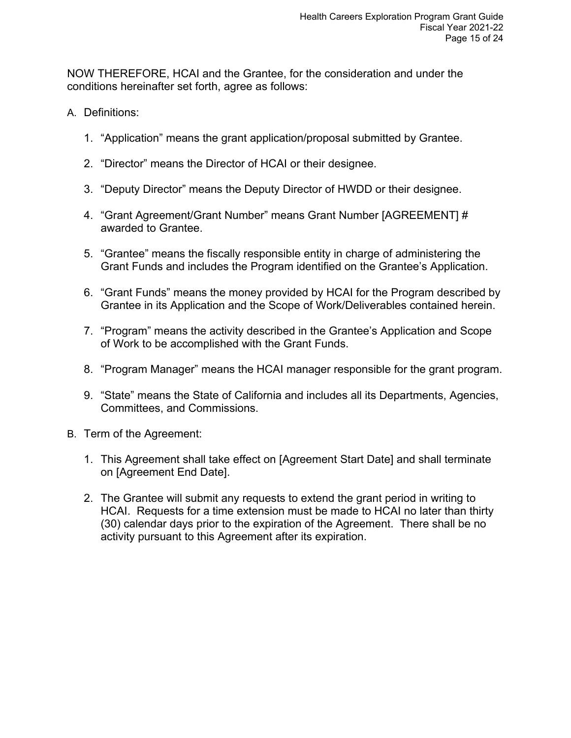NOW THEREFORE, HCAI and the Grantee, for the consideration and under the conditions hereinafter set forth, agree as follows:

- A. Definitions:
	- 1. "Application" means the grant application/proposal submitted by Grantee.
	- 2. "Director" means the Director of HCAI or their designee.
	- 3. "Deputy Director" means the Deputy Director of HWDD or their designee.
	- 4. "Grant Agreement/Grant Number" means Grant Number [AGREEMENT] # awarded to Grantee.
	- 5. "Grantee" means the fiscally responsible entity in charge of administering the Grant Funds and includes the Program identified on the Grantee's Application.
	- 6. "Grant Funds" means the money provided by HCAI for the Program described by Grantee in its Application and the Scope of Work/Deliverables contained herein.
	- 7. "Program" means the activity described in the Grantee's Application and Scope of Work to be accomplished with the Grant Funds.
	- 8. "Program Manager" means the HCAI manager responsible for the grant program.
	- 9. "State" means the State of California and includes all its Departments, Agencies, Committees, and Commissions.
- B. Term of the Agreement:
	- 1. This Agreement shall take effect on [Agreement Start Date] and shall terminate on [Agreement End Date].
	- 2. The Grantee will submit any requests to extend the grant period in writing to HCAI. Requests for a time extension must be made to HCAI no later than thirty (30) calendar days prior to the expiration of the Agreement. There shall be no activity pursuant to this Agreement after its expiration.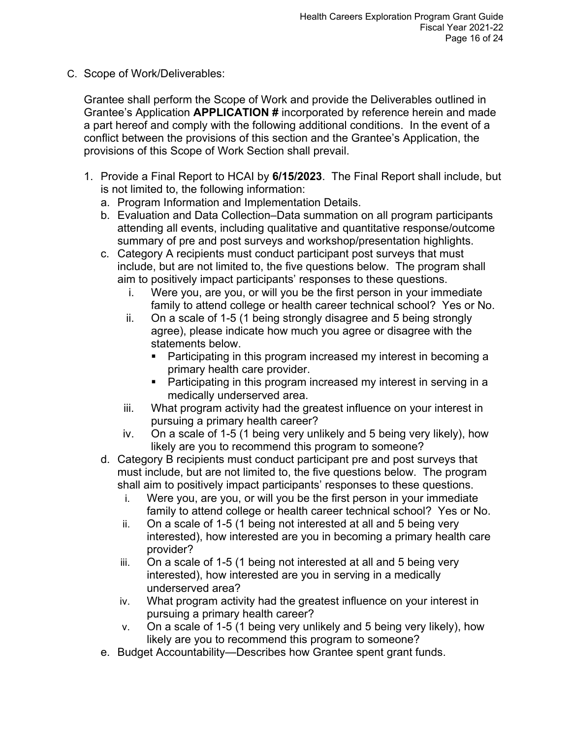C. Scope of Work/Deliverables:

Grantee shall perform the Scope of Work and provide the Deliverables outlined in Grantee's Application **APPLICATION #** incorporated by reference herein and made a part hereof and comply with the following additional conditions. In the event of a conflict between the provisions of this section and the Grantee's Application, the provisions of this Scope of Work Section shall prevail.

- 1. Provide a Final Report to HCAI by **6/15/2023**. The Final Report shall include, but is not limited to, the following information:
	- a. Program Information and Implementation Details.
	- b. Evaluation and Data Collection–Data summation on all program participants attending all events, including qualitative and quantitative response/outcome summary of pre and post surveys and workshop/presentation highlights.
	- c. Category A recipients must conduct participant post surveys that must include, but are not limited to, the five questions below. The program shall aim to positively impact participants' responses to these questions.
		- i. Were you, are you, or will you be the first person in your immediate family to attend college or health career technical school? Yes or No.
		- ii. On a scale of 1-5 (1 being strongly disagree and 5 being strongly agree), please indicate how much you agree or disagree with the statements below.
			- Participating in this program increased my interest in becoming a primary health care provider.
			- Participating in this program increased my interest in serving in a medically underserved area.
		- iii. What program activity had the greatest influence on your interest in pursuing a primary health career?
		- iv. On a scale of 1-5 (1 being very unlikely and 5 being very likely), how likely are you to recommend this program to someone?
	- d. Category B recipients must conduct participant pre and post surveys that must include, but are not limited to, the five questions below. The program shall aim to positively impact participants' responses to these questions.
		- i. Were you, are you, or will you be the first person in your immediate family to attend college or health career technical school? Yes or No.
		- ii. On a scale of 1-5 (1 being not interested at all and 5 being very interested), how interested are you in becoming a primary health care provider?
		- iii. On a scale of 1-5 (1 being not interested at all and 5 being very interested), how interested are you in serving in a medically underserved area?
		- iv. What program activity had the greatest influence on your interest in pursuing a primary health career?
		- v. On a scale of 1-5 (1 being very unlikely and 5 being very likely), how likely are you to recommend this program to someone?
	- e. Budget Accountability—Describes how Grantee spent grant funds.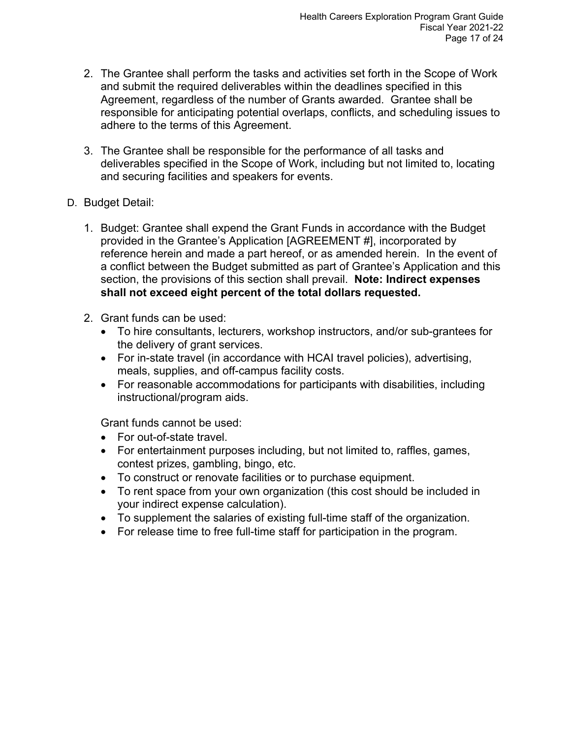- 2. The Grantee shall perform the tasks and activities set forth in the Scope of Work and submit the required deliverables within the deadlines specified in this Agreement, regardless of the number of Grants awarded. Grantee shall be responsible for anticipating potential overlaps, conflicts, and scheduling issues to adhere to the terms of this Agreement.
- 3. The Grantee shall be responsible for the performance of all tasks and deliverables specified in the Scope of Work, including but not limited to, locating and securing facilities and speakers for events.
- D. Budget Detail:
	- 1. Budget: Grantee shall expend the Grant Funds in accordance with the Budget provided in the Grantee's Application [AGREEMENT #], incorporated by reference herein and made a part hereof, or as amended herein. In the event of a conflict between the Budget submitted as part of Grantee's Application and this section, the provisions of this section shall prevail. **Note: Indirect expenses shall not exceed eight percent of the total dollars requested.**
	- 2. Grant funds can be used:
		- To hire consultants, lecturers, workshop instructors, and/or sub-grantees for the delivery of grant services.
		- For in-state travel (in accordance with HCAI travel policies), advertising, meals, supplies, and off-campus facility costs.
		- For reasonable accommodations for participants with disabilities, including instructional/program aids.

Grant funds cannot be used:

- For out-of-state travel.
- For entertainment purposes including, but not limited to, raffles, games, contest prizes, gambling, bingo, etc.
- To construct or renovate facilities or to purchase equipment.
- To rent space from your own organization (this cost should be included in your indirect expense calculation).
- To supplement the salaries of existing full-time staff of the organization.
- For release time to free full-time staff for participation in the program.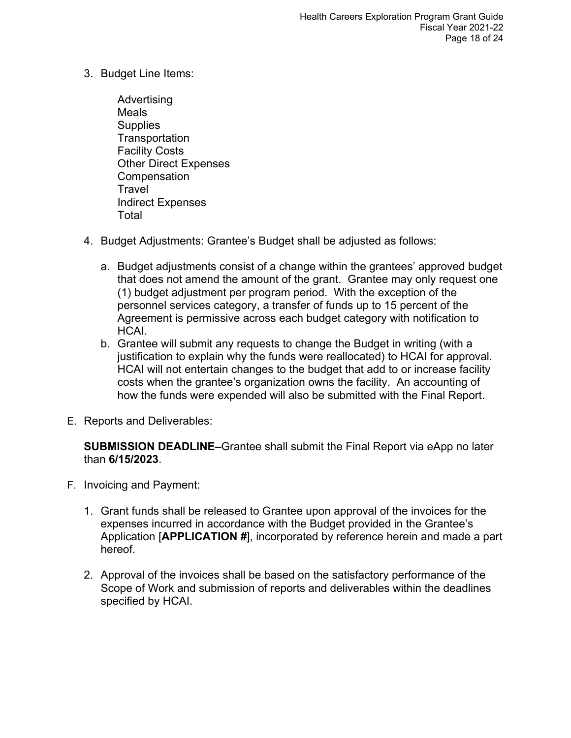- 3. Budget Line Items:
	- Advertising Meals **Supplies Transportation** Facility Costs Other Direct Expenses **Compensation Travel** Indirect Expenses Total
- 4. Budget Adjustments: Grantee's Budget shall be adjusted as follows:
	- a. Budget adjustments consist of a change within the grantees' approved budget that does not amend the amount of the grant. Grantee may only request one (1) budget adjustment per program period. With the exception of the personnel services category, a transfer of funds up to 15 percent of the Agreement is permissive across each budget category with notification to HCAI.
	- b. Grantee will submit any requests to change the Budget in writing (with a justification to explain why the funds were reallocated) to HCAI for approval. HCAI will not entertain changes to the budget that add to or increase facility costs when the grantee's organization owns the facility. An accounting of how the funds were expended will also be submitted with the Final Report.
- E. Reports and Deliverables:

**SUBMISSION DEADLINE–**Grantee shall submit the Final Report via eApp no later than **6/15/2023**.

- F. Invoicing and Payment:
	- 1. Grant funds shall be released to Grantee upon approval of the invoices for the expenses incurred in accordance with the Budget provided in the Grantee's Application [**APPLICATION #**], incorporated by reference herein and made a part hereof.
	- 2. Approval of the invoices shall be based on the satisfactory performance of the Scope of Work and submission of reports and deliverables within the deadlines specified by HCAI.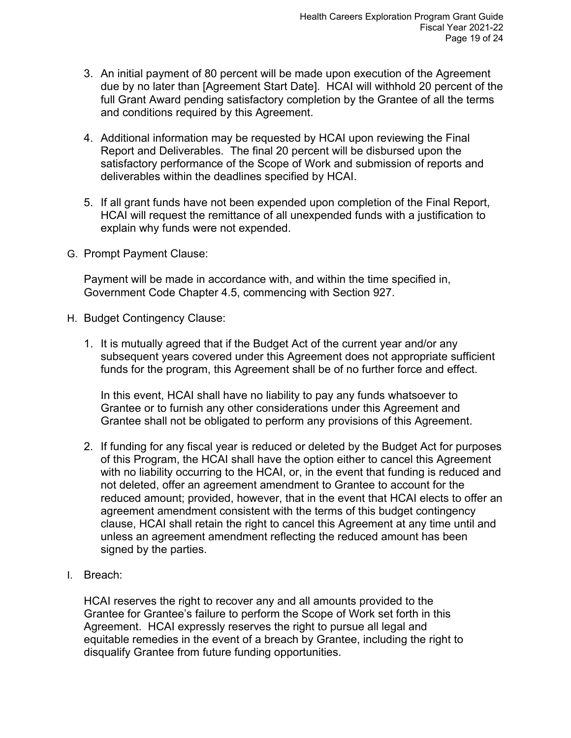- 3. An initial payment of 80 percent will be made upon execution of the Agreement due by no later than [Agreement Start Date]. HCAI will withhold 20 percent of the full Grant Award pending satisfactory completion by the Grantee of all the terms and conditions required by this Agreement.
- 4. Additional information may be requested by HCAI upon reviewing the Final Report and Deliverables. The final 20 percent will be disbursed upon the satisfactory performance of the Scope of Work and submission of reports and deliverables within the deadlines specified by HCAI.
- 5. If all grant funds have not been expended upon completion of the Final Report, HCAI will request the remittance of all unexpended funds with a justification to explain why funds were not expended.
- G. Prompt Payment Clause:

Payment will be made in accordance with, and within the time specified in, Government Code Chapter 4.5, commencing with Section 927.

- H. Budget Contingency Clause:
	- 1. It is mutually agreed that if the Budget Act of the current year and/or any subsequent years covered under this Agreement does not appropriate sufficient funds for the program, this Agreement shall be of no further force and effect.

In this event, HCAI shall have no liability to pay any funds whatsoever to Grantee or to furnish any other considerations under this Agreement and Grantee shall not be obligated to perform any provisions of this Agreement.

- 2. If funding for any fiscal year is reduced or deleted by the Budget Act for purposes of this Program, the HCAI shall have the option either to cancel this Agreement with no liability occurring to the HCAI, or, in the event that funding is reduced and not deleted, offer an agreement amendment to Grantee to account for the reduced amount; provided, however, that in the event that HCAI elects to offer an agreement amendment consistent with the terms of this budget contingency clause, HCAI shall retain the right to cancel this Agreement at any time until and unless an agreement amendment reflecting the reduced amount has been signed by the parties.
- I. Breach:

HCAI reserves the right to recover any and all amounts provided to the Grantee for Grantee's failure to perform the Scope of Work set forth in this Agreement. HCAI expressly reserves the right to pursue all legal and equitable remedies in the event of a breach by Grantee, including the right to disqualify Grantee from future funding opportunities.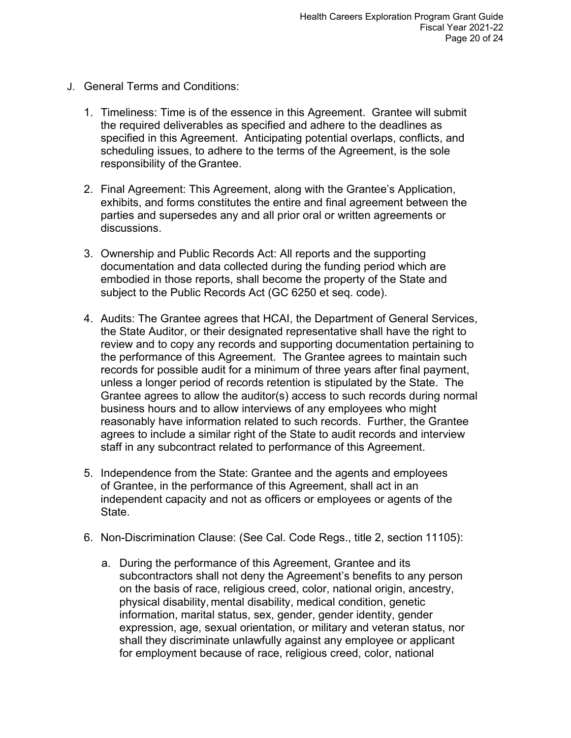- J. General Terms and Conditions:
	- 1. Timeliness: Time is of the essence in this Agreement. Grantee will submit the required deliverables as specified and adhere to the deadlines as specified in this Agreement. Anticipating potential overlaps, conflicts, and scheduling issues, to adhere to the terms of the Agreement, is the sole responsibility of the Grantee.
	- 2. Final Agreement: This Agreement, along with the Grantee's Application, exhibits, and forms constitutes the entire and final agreement between the parties and supersedes any and all prior oral or written agreements or discussions.
	- 3. Ownership and Public Records Act: All reports and the supporting documentation and data collected during the funding period which are embodied in those reports, shall become the property of the State and subject to the Public Records Act (GC 6250 et seq. code).
	- 4. Audits: The Grantee agrees that HCAI, the Department of General Services, the State Auditor, or their designated representative shall have the right to review and to copy any records and supporting documentation pertaining to the performance of this Agreement. The Grantee agrees to maintain such records for possible audit for a minimum of three years after final payment, unless a longer period of records retention is stipulated by the State. The Grantee agrees to allow the auditor(s) access to such records during normal business hours and to allow interviews of any employees who might reasonably have information related to such records. Further, the Grantee agrees to include a similar right of the State to audit records and interview staff in any subcontract related to performance of this Agreement.
	- 5. Independence from the State: Grantee and the agents and employees of Grantee, in the performance of this Agreement, shall act in an independent capacity and not as officers or employees or agents of the State.
	- 6. Non-Discrimination Clause: (See Cal. Code Regs., title 2, section 11105):
		- a. During the performance of this Agreement, Grantee and its subcontractors shall not deny the Agreement's benefits to any person on the basis of race, religious creed, color, national origin, ancestry, physical disability, mental disability, medical condition, genetic information, marital status, sex, gender, gender identity, gender expression, age, sexual orientation, or military and veteran status, nor shall they discriminate unlawfully against any employee or applicant for employment because of race, religious creed, color, national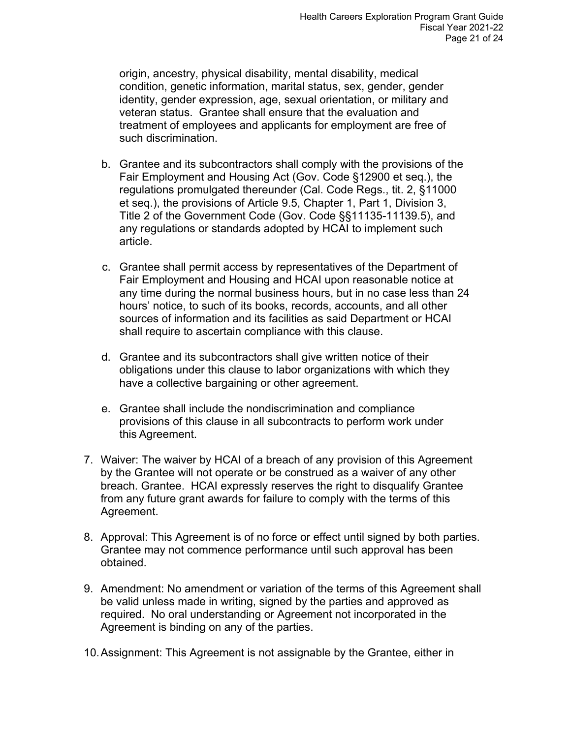origin, ancestry, physical disability, mental disability, medical condition, genetic information, marital status, sex, gender, gender identity, gender expression, age, sexual orientation, or military and veteran status. Grantee shall ensure that the evaluation and treatment of employees and applicants for employment are free of such discrimination.

- b. Grantee and its subcontractors shall comply with the provisions of the Fair Employment and Housing Act (Gov. Code §12900 et seq.), the regulations promulgated thereunder (Cal. Code Regs., tit. 2, §11000 et seq.), the provisions of Article 9.5, Chapter 1, Part 1, Division 3, Title 2 of the Government Code (Gov. Code §§11135-11139.5), and any regulations or standards adopted by HCAI to implement such article.
- c. Grantee shall permit access by representatives of the Department of Fair Employment and Housing and HCAI upon reasonable notice at any time during the normal business hours, but in no case less than 24 hours' notice, to such of its books, records, accounts, and all other sources of information and its facilities as said Department or HCAI shall require to ascertain compliance with this clause.
- d. Grantee and its subcontractors shall give written notice of their obligations under this clause to labor organizations with which they have a collective bargaining or other agreement.
- e. Grantee shall include the nondiscrimination and compliance provisions of this clause in all subcontracts to perform work under this Agreement.
- 7. Waiver: The waiver by HCAI of a breach of any provision of this Agreement by the Grantee will not operate or be construed as a waiver of any other breach. Grantee. HCAI expressly reserves the right to disqualify Grantee from any future grant awards for failure to comply with the terms of this Agreement.
- 8. Approval: This Agreement is of no force or effect until signed by both parties. Grantee may not commence performance until such approval has been obtained.
- 9. Amendment: No amendment or variation of the terms of this Agreement shall be valid unless made in writing, signed by the parties and approved as required. No oral understanding or Agreement not incorporated in the Agreement is binding on any of the parties.
- 10.Assignment: This Agreement is not assignable by the Grantee, either in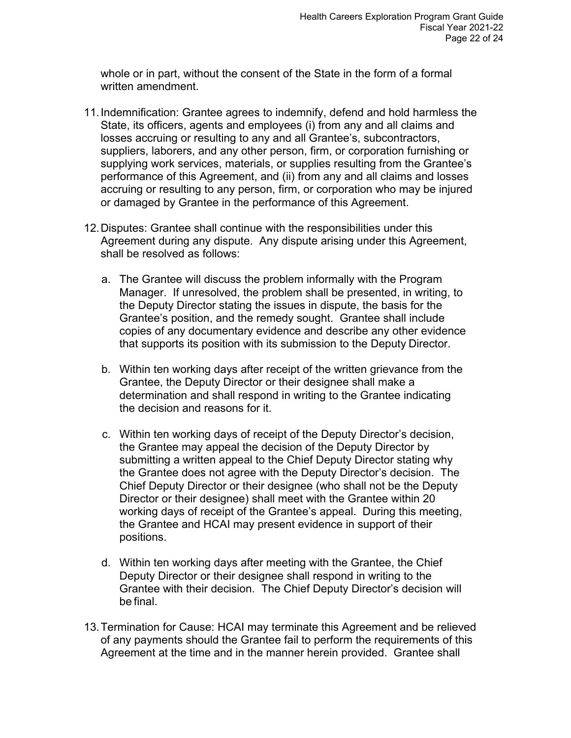whole or in part, without the consent of the State in the form of a formal written amendment.

- 11.Indemnification: Grantee agrees to indemnify, defend and hold harmless the State, its officers, agents and employees (i) from any and all claims and losses accruing or resulting to any and all Grantee's, subcontractors, suppliers, laborers, and any other person, firm, or corporation furnishing or supplying work services, materials, or supplies resulting from the Grantee's performance of this Agreement, and (ii) from any and all claims and losses accruing or resulting to any person, firm, or corporation who may be injured or damaged by Grantee in the performance of this Agreement.
- 12.Disputes: Grantee shall continue with the responsibilities under this Agreement during any dispute. Any dispute arising under this Agreement, shall be resolved as follows:
	- a. The Grantee will discuss the problem informally with the Program Manager. If unresolved, the problem shall be presented, in writing, to the Deputy Director stating the issues in dispute, the basis for the Grantee's position, and the remedy sought. Grantee shall include copies of any documentary evidence and describe any other evidence that supports its position with its submission to the Deputy Director.
	- b. Within ten working days after receipt of the written grievance from the Grantee, the Deputy Director or their designee shall make a determination and shall respond in writing to the Grantee indicating the decision and reasons for it.
	- c. Within ten working days of receipt of the Deputy Director's decision, the Grantee may appeal the decision of the Deputy Director by submitting a written appeal to the Chief Deputy Director stating why the Grantee does not agree with the Deputy Director's decision. The Chief Deputy Director or their designee (who shall not be the Deputy Director or their designee) shall meet with the Grantee within 20 working days of receipt of the Grantee's appeal. During this meeting, the Grantee and HCAI may present evidence in support of their positions.
	- d. Within ten working days after meeting with the Grantee, the Chief Deputy Director or their designee shall respond in writing to the Grantee with their decision. The Chief Deputy Director's decision will be final.
- 13.Termination for Cause: HCAI may terminate this Agreement and be relieved of any payments should the Grantee fail to perform the requirements of this Agreement at the time and in the manner herein provided. Grantee shall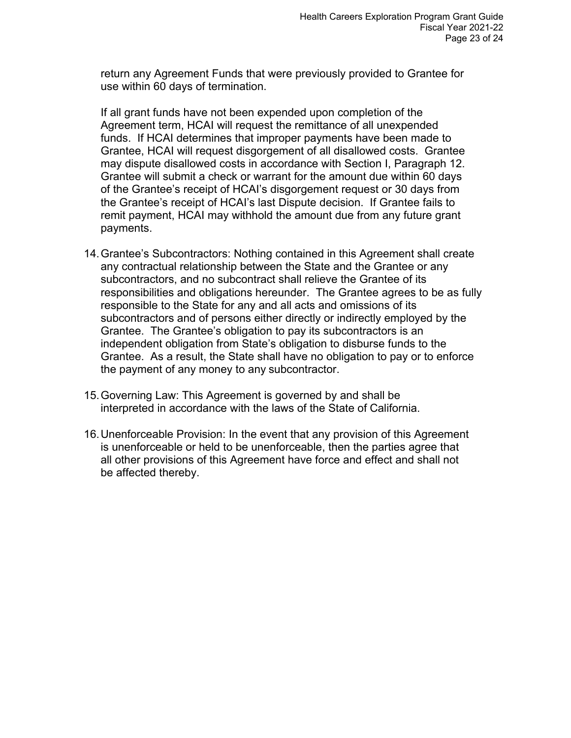return any Agreement Funds that were previously provided to Grantee for use within 60 days of termination.

If all grant funds have not been expended upon completion of the Agreement term, HCAI will request the remittance of all unexpended funds. If HCAI determines that improper payments have been made to Grantee, HCAI will request disgorgement of all disallowed costs. Grantee may dispute disallowed costs in accordance with Section I, Paragraph 12. Grantee will submit a check or warrant for the amount due within 60 days of the Grantee's receipt of HCAI's disgorgement request or 30 days from the Grantee's receipt of HCAI's last Dispute decision. If Grantee fails to remit payment, HCAI may withhold the amount due from any future grant payments.

- 14.Grantee's Subcontractors: Nothing contained in this Agreement shall create any contractual relationship between the State and the Grantee or any subcontractors, and no subcontract shall relieve the Grantee of its responsibilities and obligations hereunder. The Grantee agrees to be as fully responsible to the State for any and all acts and omissions of its subcontractors and of persons either directly or indirectly employed by the Grantee. The Grantee's obligation to pay its subcontractors is an independent obligation from State's obligation to disburse funds to the Grantee. As a result, the State shall have no obligation to pay or to enforce the payment of any money to any subcontractor.
- 15.Governing Law: This Agreement is governed by and shall be interpreted in accordance with the laws of the State of California.
- 16.Unenforceable Provision: In the event that any provision of this Agreement is unenforceable or held to be unenforceable, then the parties agree that all other provisions of this Agreement have force and effect and shall not be affected thereby.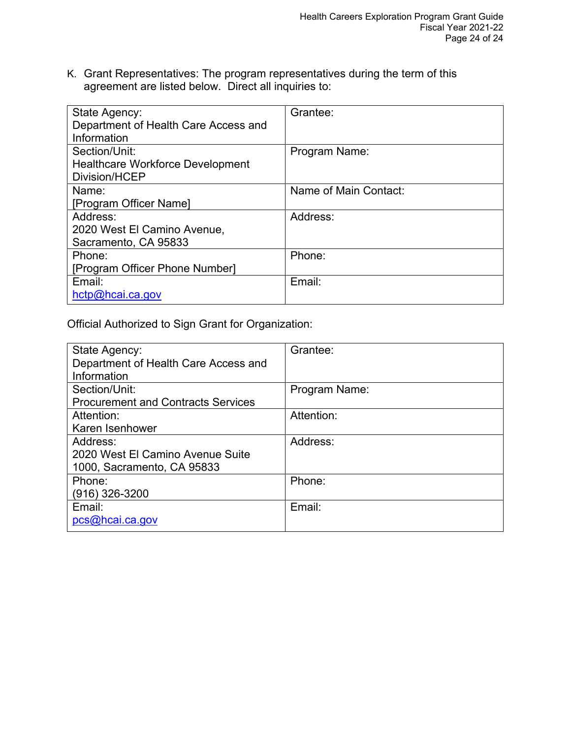K. Grant Representatives: The program representatives during the term of this agreement are listed below. Direct all inquiries to:

| State Agency:<br>Department of Health Care Access and<br>Information | Grantee:              |
|----------------------------------------------------------------------|-----------------------|
| Section/Unit:<br><b>Healthcare Workforce Development</b>             | Program Name:         |
| Division/HCEP                                                        |                       |
| Name:                                                                | Name of Main Contact: |
| [Program Officer Name]                                               |                       |
| Address:                                                             | Address:              |
| 2020 West El Camino Avenue,                                          |                       |
| Sacramento, CA 95833                                                 |                       |
| Phone:                                                               | Phone:                |
| [Program Officer Phone Number]                                       |                       |
| Email:                                                               | Email:                |
| hctp@hcai.ca.gov                                                     |                       |

Official Authorized to Sign Grant for Organization:

| State Agency:                             | Grantee:      |
|-------------------------------------------|---------------|
| Department of Health Care Access and      |               |
| Information                               |               |
| Section/Unit:                             | Program Name: |
| <b>Procurement and Contracts Services</b> |               |
| Attention:                                | Attention:    |
| Karen Isenhower                           |               |
| Address:                                  | Address:      |
| 2020 West El Camino Avenue Suite          |               |
| 1000, Sacramento, CA 95833                |               |
| Phone:                                    | Phone:        |
| $(916)$ 326-3200                          |               |
| Email:                                    | Email:        |
| pcs@hcai.ca.gov                           |               |
|                                           |               |